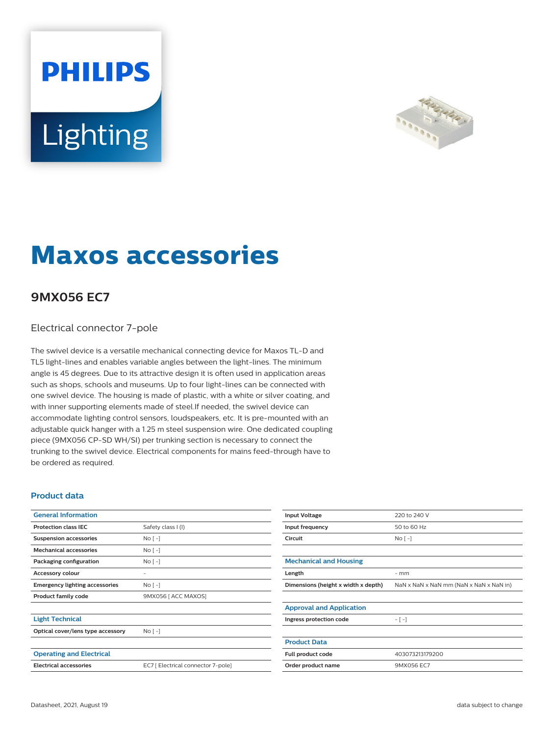# **PHILIPS Lighting**



## **Maxos accessories**

### **9MX056 EC7**

#### Electrical connector 7-pole

The swivel device is a versatile mechanical connecting device for Maxos TL-D and TL5 light-lines and enables variable angles between the light-lines. The minimum angle is 45 degrees. Due to its attractive design it is often used in application areas such as shops, schools and museums. Up to four light-lines can be connected with one swivel device. The housing is made of plastic, with a white or silver coating, and with inner supporting elements made of steel.If needed, the swivel device can accommodate lighting control sensors, loudspeakers, etc. It is pre-mounted with an adjustable quick hanger with a 1.25 m steel suspension wire. One dedicated coupling piece (9MX056 CP-SD WH/SI) per trunking section is necessary to connect the trunking to the swivel device. Electrical components for mains feed-through have to be ordered as required.

#### **Product data**

| <b>General Information</b>            |                                    |
|---------------------------------------|------------------------------------|
| <b>Protection class IEC</b>           | Safety class I (I)                 |
| <b>Suspension accessories</b>         | $NQ$ [ -]                          |
| <b>Mechanical accessories</b>         | $No[ -]$                           |
| Packaging configuration               | $No[ -]$                           |
| <b>Accessory colour</b>               |                                    |
| <b>Emergency lighting accessories</b> | $No[ -]$                           |
| <b>Product family code</b>            | 9MX056 [ ACC MAXOS]                |
|                                       |                                    |
| <b>Light Technical</b>                |                                    |
| Optical cover/lens type accessory     | $No[-]$                            |
|                                       |                                    |
| <b>Operating and Electrical</b>       |                                    |
| <b>Electrical accessories</b>         | EC7 [ Electrical connector 7-pole] |

| <b>Input Voltage</b>                | 220 to 240 V                            |
|-------------------------------------|-----------------------------------------|
| Input frequency                     | 50 to 60 Hz                             |
| Circuit                             | $No$ [ -1                               |
|                                     |                                         |
| <b>Mechanical and Housing</b>       |                                         |
| Length                              | $-$ mm                                  |
| Dimensions (height x width x depth) | NaN x NaN x NaN mm (NaN x NaN x NaN in) |
|                                     |                                         |
|                                     |                                         |
| <b>Approval and Application</b>     |                                         |
| Ingress protection code             | $-[-]$                                  |
|                                     |                                         |
| <b>Product Data</b>                 |                                         |
| Full product code                   | 403073213179200                         |
| Order product name                  | 9MX056 EC7                              |